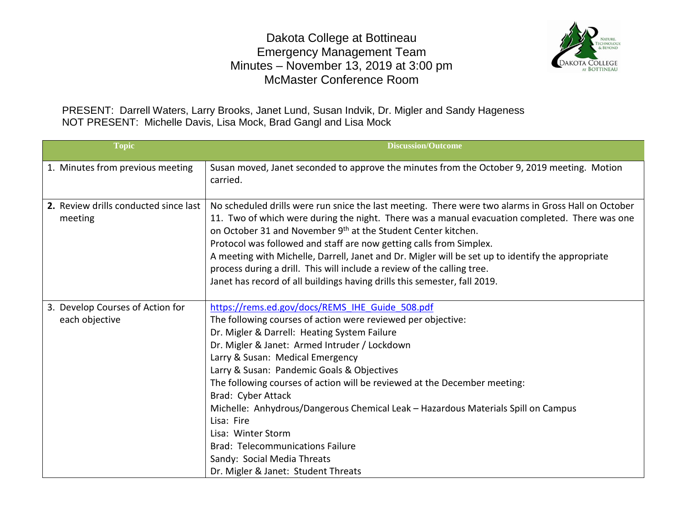## Dakota College at Bottineau Emergency Management Team Minutes – November 13, 2019 at 3:00 pm McMaster Conference Room



PRESENT: Darrell Waters, Larry Brooks, Janet Lund, Susan Indvik, Dr. Migler and Sandy Hageness NOT PRESENT: Michelle Davis, Lisa Mock, Brad Gangl and Lisa Mock

| <b>Topic</b>                                       | <b>Discussion/Outcome</b>                                                                                                                                                                                                                                                                                                                                                                                                                                                                                                                                                                                                                       |
|----------------------------------------------------|-------------------------------------------------------------------------------------------------------------------------------------------------------------------------------------------------------------------------------------------------------------------------------------------------------------------------------------------------------------------------------------------------------------------------------------------------------------------------------------------------------------------------------------------------------------------------------------------------------------------------------------------------|
| 1. Minutes from previous meeting                   | Susan moved, Janet seconded to approve the minutes from the October 9, 2019 meeting. Motion<br>carried.                                                                                                                                                                                                                                                                                                                                                                                                                                                                                                                                         |
| 2. Review drills conducted since last<br>meeting   | No scheduled drills were run snice the last meeting. There were two alarms in Gross Hall on October<br>11. Two of which were during the night. There was a manual evacuation completed. There was one<br>on October 31 and November 9 <sup>th</sup> at the Student Center kitchen.<br>Protocol was followed and staff are now getting calls from Simplex.<br>A meeting with Michelle, Darrell, Janet and Dr. Migler will be set up to identify the appropriate<br>process during a drill. This will include a review of the calling tree.<br>Janet has record of all buildings having drills this semester, fall 2019.                          |
| 3. Develop Courses of Action for<br>each objective | https://rems.ed.gov/docs/REMS IHE Guide 508.pdf<br>The following courses of action were reviewed per objective:<br>Dr. Migler & Darrell: Heating System Failure<br>Dr. Migler & Janet: Armed Intruder / Lockdown<br>Larry & Susan: Medical Emergency<br>Larry & Susan: Pandemic Goals & Objectives<br>The following courses of action will be reviewed at the December meeting:<br>Brad: Cyber Attack<br>Michelle: Anhydrous/Dangerous Chemical Leak - Hazardous Materials Spill on Campus<br>Lisa: Fire<br>Lisa: Winter Storm<br><b>Brad: Telecommunications Failure</b><br>Sandy: Social Media Threats<br>Dr. Migler & Janet: Student Threats |